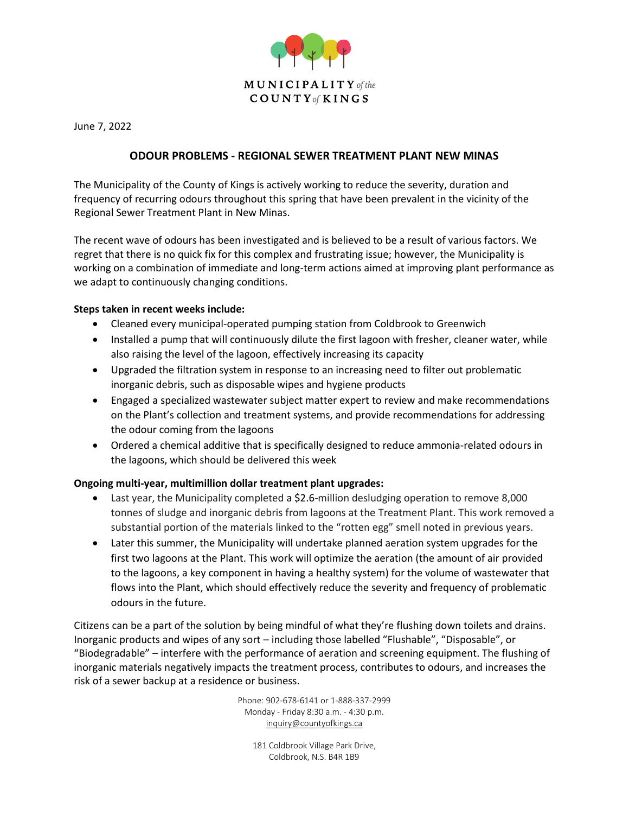

June 7, 2022

## **ODOUR PROBLEMS - REGIONAL SEWER TREATMENT PLANT NEW MINAS**

The Municipality of the County of Kings is actively working to reduce the severity, duration and frequency of recurring odours throughout this spring that have been prevalent in the vicinity of the Regional Sewer Treatment Plant in New Minas.

The recent wave of odours has been investigated and is believed to be a result of various factors. We regret that there is no quick fix for this complex and frustrating issue; however, the Municipality is working on a combination of immediate and long-term actions aimed at improving plant performance as we adapt to continuously changing conditions.

## **Steps taken in recent weeks include:**

- Cleaned every municipal-operated pumping station from Coldbrook to Greenwich
- Installed a pump that will continuously dilute the first lagoon with fresher, cleaner water, while also raising the level of the lagoon, effectively increasing its capacity
- Upgraded the filtration system in response to an increasing need to filter out problematic inorganic debris, such as disposable wipes and hygiene products
- Engaged a specialized wastewater subject matter expert to review and make recommendations on the Plant's collection and treatment systems, and provide recommendations for addressing the odour coming from the lagoons
- Ordered a chemical additive that is specifically designed to reduce ammonia-related odours in the lagoons, which should be delivered this week

## **Ongoing multi-year, multimillion dollar treatment plant upgrades:**

- Last year, the Municipality completed a \$2.6-million desludging operation to remove 8,000 tonnes of sludge and inorganic debris from lagoons at the Treatment Plant. This work removed a substantial portion of the materials linked to the "rotten egg" smell noted in previous years.
- Later this summer, the Municipality will undertake planned aeration system upgrades for the first two lagoons at the Plant. This work will optimize the aeration (the amount of air provided to the lagoons, a key component in having a healthy system) for the volume of wastewater that flows into the Plant, which should effectively reduce the severity and frequency of problematic odours in the future.

Citizens can be a part of the solution by being mindful of what they're flushing down toilets and drains. Inorganic products and wipes of any sort – including those labelled "Flushable", "Disposable", or "Biodegradable" – interfere with the performance of aeration and screening equipment. The flushing of inorganic materials negatively impacts the treatment process, contributes to odours, and increases the risk of a sewer backup at a residence or business.

> Phone: 902-678-6141 or 1-888-337-2999 Monday - Friday 8:30 a.m. - 4:30 p.m. [inquiry@countyofkings.ca](mailto:inquiry@countyofkings.ca)

181 Coldbrook Village Park Drive, Coldbrook, N.S. B4R 1B9